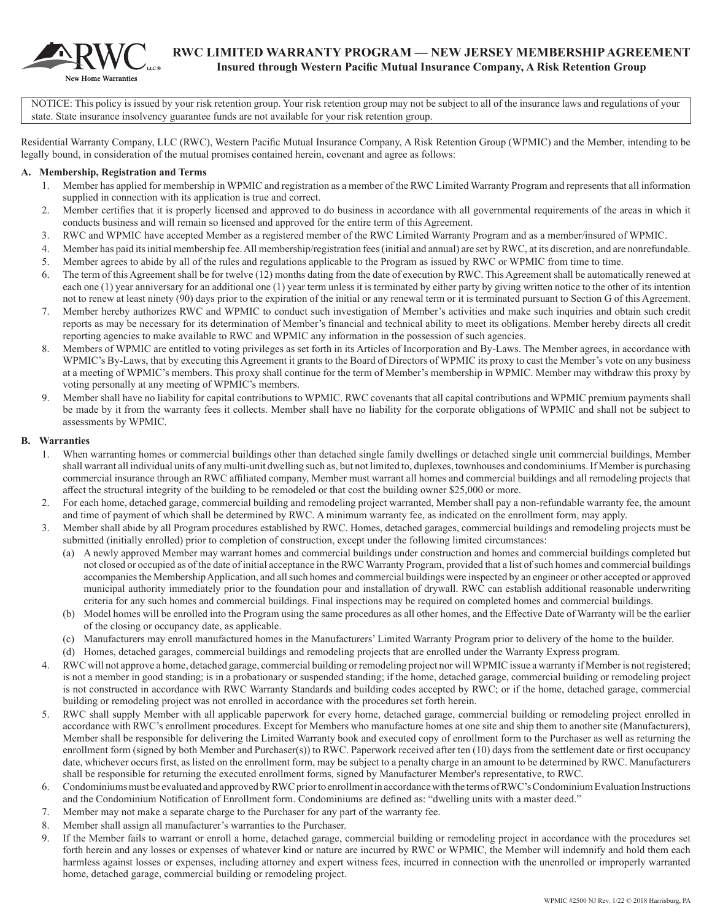

NOTICE: This policy is issued by your risk retention group. Your risk retention group may not be subject to all of the insurance laws and regulations of your state. State insurance insolvency guarantee funds are not available for your risk retention group.

Residential Warranty Company, LLC (RWC), Western Pacific Mutual Insurance Company, A Risk Retention Group (WPMIC) and the Member, intending to be legally bound, in consideration of the mutual promises contained herein, covenant and agree as follows:

#### **A. Membership, Registration and Terms**

- 1. Member has applied for membership in WPMIC and registration as a member of the RWC Limited Warranty Program and represents that all information supplied in connection with its application is true and correct.
- 2. Member certifies that it is properly licensed and approved to do business in accordance with all governmental requirements of the areas in which it conducts business and will remain so licensed and approved for the entire term of this Agreement.
- 3. RWC and WPMIC have accepted Member as a registered member of the RWC Limited Warranty Program and as a member/insured of WPMIC.
- 4. Member has paid its initial membership fee. All membership/registration fees (initial and annual) are set by RWC, at its discretion, and are nonrefundable.
- 5. Member agrees to abide by all of the rules and regulations applicable to the Program as issued by RWC or WPMIC from time to time.
- 6. The term of this Agreement shall be for twelve (12) months dating from the date of execution by RWC. This Agreement shall be automatically renewed at each one (1) year anniversary for an additional one (1) year term unless it is terminated by either party by giving written notice to the other of its intention not to renew at least ninety (90) days prior to the expiration of the initial or any renewal term or it is terminated pursuant to Section G of this Agreement.
- 7. Member hereby authorizes RWC and WPMIC to conduct such investigation of Member's activities and make such inquiries and obtain such credit reports as may be necessary for its determination of Member's financial and technical ability to meet its obligations. Member hereby directs all credit reporting agencies to make available to RWC and WPMIC any information in the possession of such agencies.
- Members of WPMIC are entitled to voting privileges as set forth in its Articles of Incorporation and By-Laws. The Member agrees, in accordance with WPMIC's By-Laws, that by executing this Agreement it grants to the Board of Directors of WPMIC its proxy to cast the Member's vote on any business at a meeting of WPMIC's members. This proxy shall continue for the term of Member's membership in WPMIC. Member may withdraw this proxy by voting personally at any meeting of WPMIC's members.
- 9. Member shall have no liability for capital contributions to WPMIC. RWC covenants that all capital contributions and WPMIC premium payments shall be made by it from the warranty fees it collects. Member shall have no liability for the corporate obligations of WPMIC and shall not be subject to assessments by WPMIC.

#### **B. Warranties**

- 1. When warranting homes or commercial buildings other than detached single family dwellings or detached single unit commercial buildings, Member shall warrant all individual units of any multi-unit dwelling such as, but not limited to, duplexes, townhouses and condominiums. If Member is purchasing commercial insurance through an RWC affiliated company, Member must warrant all homes and commercial buildings and all remodeling projects that affect the structural integrity of the building to be remodeled or that cost the building owner \$25,000 or more.
- 2. For each home, detached garage, commercial building and remodeling project warranted, Member shall pay a non-refundable warranty fee, the amount and time of payment of which shall be determined by RWC. A minimum warranty fee, as indicated on the enrollment form, may apply.
- 3. Member shall abide by all Program procedures established by RWC. Homes, detached garages, commercial buildings and remodeling projects must be submitted (initially enrolled) prior to completion of construction, except under the following limited circumstances:
	- (a) A newly approved Member may warrant homes and commercial buildings under construction and homes and commercial buildings completed but not closed or occupied as of the date of initial acceptance in the RWC Warranty Program, provided that a list of such homes and commercial buildings accompanies the Membership Application, and all such homes and commercial buildings were inspected by an engineer or other accepted or approved municipal authority immediately prior to the foundation pour and installation of drywall. RWC can establish additional reasonable underwriting criteria for any such homes and commercial buildings. Final inspections may be required on completed homes and commercial buildings.
	- (b) Model homes will be enrolled into the Program using the same procedures as all other homes, and the Effective Date of Warranty will be the earlier of the closing or occupancy date, as applicable.
	- (c) Manufacturers may enroll manufactured homes in the Manufacturers' Limited Warranty Program prior to delivery of the home to the builder.
	- (d) Homes, detached garages, commercial buildings and remodeling projects that are enrolled under the Warranty Express program.
- 4. RWC will not approve a home, detached garage, commercial building or remodeling project nor will WPMIC issue a warranty if Member is not registered; is not a member in good standing; is in a probationary or suspended standing; if the home, detached garage, commercial building or remodeling project is not constructed in accordance with RWC Warranty Standards and building codes accepted by RWC; or if the home, detached garage, commercial building or remodeling project was not enrolled in accordance with the procedures set forth herein.
- 5. RWC shall supply Member with all applicable paperwork for every home, detached garage, commercial building or remodeling project enrolled in accordance with RWC's enrollment procedures. Except for Members who manufacture homes at one site and ship them to another site (Manufacturers), Member shall be responsible for delivering the Limited Warranty book and executed copy of enrollment form to the Purchaser as well as returning the enrollment form (signed by both Member and Purchaser(s)) to RWC. Paperwork received after ten (10) days from the settlement date or first occupancy date, whichever occurs first, as listed on the enrollment form, may be subject to a penalty charge in an amount to be determined by RWC. Manufacturers shall be responsible for returning the executed enrollment forms, signed by Manufacturer Member's representative, to RWC.
- 6. Condominiums must be evaluated and approved by RWC prior to enrollment in accordance with the terms of RWC's Condominium Evaluation Instructions and the Condominium Notification of Enrollment form. Condominiums are defined as: "dwelling units with a master deed."
- 7. Member may not make a separate charge to the Purchaser for any part of the warranty fee.
- 8. Member shall assign all manufacturer's warranties to the Purchaser.
- 9. If the Member fails to warrant or enroll a home, detached garage, commercial building or remodeling project in accordance with the procedures set forth herein and any losses or expenses of whatever kind or nature are incurred by RWC or WPMIC, the Member will indemnify and hold them each harmless against losses or expenses, including attorney and expert witness fees, incurred in connection with the unenrolled or improperly warranted home, detached garage, commercial building or remodeling project.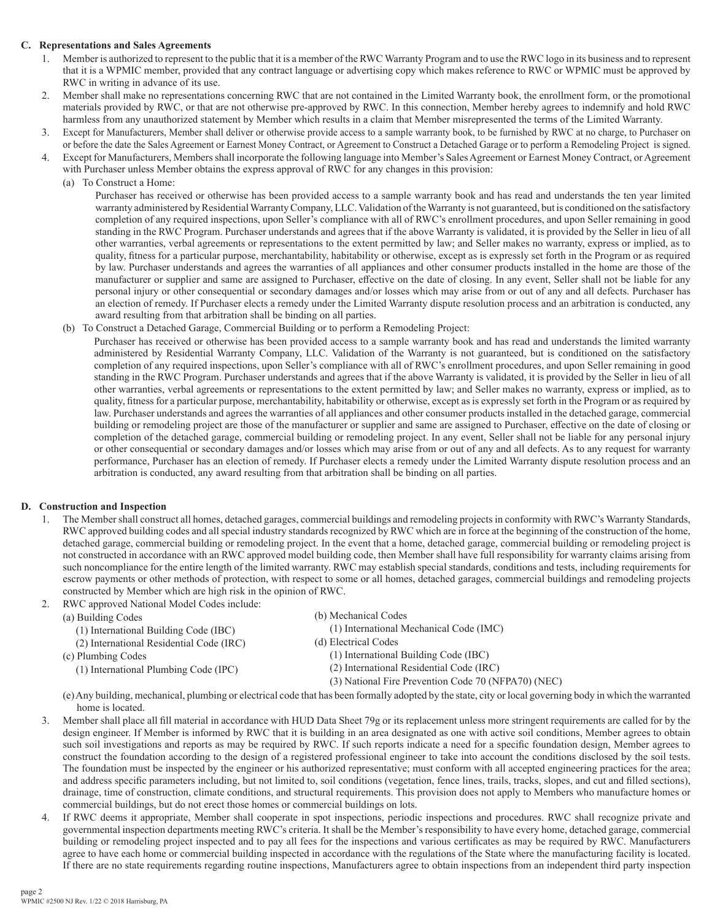## **C. Representations and Sales Agreements**

- 1. Member is authorized to represent to the public that it is a member of the RWC Warranty Program and to use the RWC logo in its business and to represent that it is a WPMIC member, provided that any contract language or advertising copy which makes reference to RWC or WPMIC must be approved by RWC in writing in advance of its use.
- 2. Member shall make no representations concerning RWC that are not contained in the Limited Warranty book, the enrollment form, or the promotional materials provided by RWC, or that are not otherwise pre-approved by RWC. In this connection, Member hereby agrees to indemnify and hold RWC harmless from any unauthorized statement by Member which results in a claim that Member misrepresented the terms of the Limited Warranty.
- 3. Except for Manufacturers, Member shall deliver or otherwise provide access to a sample warranty book, to be furnished by RWC at no charge, to Purchaser on or before the date the Sales Agreement or Earnest Money Contract, or Agreement to Construct a Detached Garage or to perform a Remodeling Project is signed.
- 4. Except for Manufacturers, Members shall incorporate the following language into Member's Sales Agreement or Earnest Money Contract, or Agreement with Purchaser unless Member obtains the express approval of RWC for any changes in this provision:
	- (a) To Construct a Home:

Purchaser has received or otherwise has been provided access to a sample warranty book and has read and understands the ten year limited warranty administered by Residential Warranty Company, LLC. Validation of the Warranty is not guaranteed, but is conditioned on the satisfactory completion of any required inspections, upon Seller's compliance with all of RWC's enrollment procedures, and upon Seller remaining in good standing in the RWC Program. Purchaser understands and agrees that if the above Warranty is validated, it is provided by the Seller in lieu of all other warranties, verbal agreements or representations to the extent permitted by law; and Seller makes no warranty, express or implied, as to quality, fitness for a particular purpose, merchantability, habitability or otherwise, except as is expressly set forth in the Program or as required by law. Purchaser understands and agrees the warranties of all appliances and other consumer products installed in the home are those of the manufacturer or supplier and same are assigned to Purchaser, effective on the date of closing. In any event, Seller shall not be liable for any personal injury or other consequential or secondary damages and/or losses which may arise from or out of any and all defects. Purchaser has an election of remedy. If Purchaser elects a remedy under the Limited Warranty dispute resolution process and an arbitration is conducted, any award resulting from that arbitration shall be binding on all parties.

(b) To Construct a Detached Garage, Commercial Building or to perform a Remodeling Project:

Purchaser has received or otherwise has been provided access to a sample warranty book and has read and understands the limited warranty administered by Residential Warranty Company, LLC. Validation of the Warranty is not guaranteed, but is conditioned on the satisfactory completion of any required inspections, upon Seller's compliance with all of RWC's enrollment procedures, and upon Seller remaining in good standing in the RWC Program. Purchaser understands and agrees that if the above Warranty is validated, it is provided by the Seller in lieu of all other warranties, verbal agreements or representations to the extent permitted by law; and Seller makes no warranty, express or implied, as to quality, fitness for a particular purpose, merchantability, habitability or otherwise, except as is expressly set forth in the Program or as required by law. Purchaser understands and agrees the warranties of all appliances and other consumer products installed in the detached garage, commercial building or remodeling project are those of the manufacturer or supplier and same are assigned to Purchaser, effective on the date of closing or completion of the detached garage, commercial building or remodeling project. In any event, Seller shall not be liable for any personal injury or other consequential or secondary damages and/or losses which may arise from or out of any and all defects. As to any request for warranty performance, Purchaser has an election of remedy. If Purchaser elects a remedy under the Limited Warranty dispute resolution process and an arbitration is conducted, any award resulting from that arbitration shall be binding on all parties.

## **D. Construction and Inspection**

- 1. The Member shall construct all homes, detached garages, commercial buildings and remodeling projects in conformity with RWC's Warranty Standards, RWC approved building codes and all special industry standards recognized by RWC which are in force at the beginning of the construction of the home, detached garage, commercial building or remodeling project. In the event that a home, detached garage, commercial building or remodeling project is not constructed in accordance with an RWC approved model building code, then Member shall have full responsibility for warranty claims arising from such noncompliance for the entire length of the limited warranty. RWC may establish special standards, conditions and tests, including requirements for escrow payments or other methods of protection, with respect to some or all homes, detached garages, commercial buildings and remodeling projects constructed by Member which are high risk in the opinion of RWC.
- 2. RWC approved National Model Codes include:
	- (a) Building Codes
		- (1) International Building Code (IBC)
		- (2) International Residential Code (IRC)
	- (c) Plumbing Codes
		- (1) International Plumbing Code (IPC)

(b) Mechanical Codes (1) International Mechanical Code (IMC)

- (d) Electrical Codes
	- (1) International Building Code (IBC)
	- (2) International Residential Code (IRC)
	- (3) National Fire Prevention Code 70 (NFPA70) (NEC)
- (e) Any building, mechanical, plumbing or electrical code that has been formally adopted by the state, city or local governing body in which the warranted home is located.
- 3. Member shall place all fill material in accordance with HUD Data Sheet 79g or its replacement unless more stringent requirements are called for by the design engineer. If Member is informed by RWC that it is building in an area designated as one with active soil conditions, Member agrees to obtain such soil investigations and reports as may be required by RWC. If such reports indicate a need for a specific foundation design, Member agrees to construct the foundation according to the design of a registered professional engineer to take into account the conditions disclosed by the soil tests. The foundation must be inspected by the engineer or his authorized representative; must conform with all accepted engineering practices for the area; and address specific parameters including, but not limited to, soil conditions (vegetation, fence lines, trails, tracks, slopes, and cut and filled sections), drainage, time of construction, climate conditions, and structural requirements. This provision does not apply to Members who manufacture homes or commercial buildings, but do not erect those homes or commercial buildings on lots.
- 4. If RWC deems it appropriate, Member shall cooperate in spot inspections, periodic inspections and procedures. RWC shall recognize private and governmental inspection departments meeting RWC's criteria. It shall be the Member's responsibility to have every home, detached garage, commercial building or remodeling project inspected and to pay all fees for the inspections and various certificates as may be required by RWC. Manufacturers agree to have each home or commercial building inspected in accordance with the regulations of the State where the manufacturing facility is located. If there are no state requirements regarding routine inspections, Manufacturers agree to obtain inspections from an independent third party inspection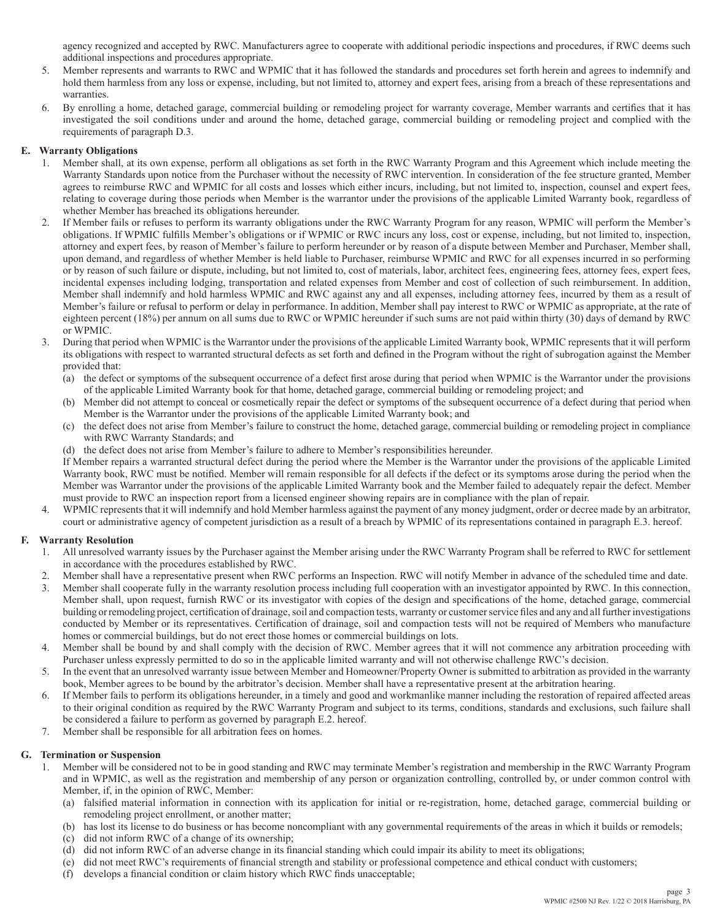agency recognized and accepted by RWC. Manufacturers agree to cooperate with additional periodic inspections and procedures, if RWC deems such additional inspections and procedures appropriate.

- 5. Member represents and warrants to RWC and WPMIC that it has followed the standards and procedures set forth herein and agrees to indemnify and hold them harmless from any loss or expense, including, but not limited to, attorney and expert fees, arising from a breach of these representations and warranties.
- 6. By enrolling a home, detached garage, commercial building or remodeling project for warranty coverage, Member warrants and certifies that it has investigated the soil conditions under and around the home, detached garage, commercial building or remodeling project and complied with the requirements of paragraph D.3.

#### **E. Warranty Obligations**

- 1. Member shall, at its own expense, perform all obligations as set forth in the RWC Warranty Program and this Agreement which include meeting the Warranty Standards upon notice from the Purchaser without the necessity of RWC intervention. In consideration of the fee structure granted, Member agrees to reimburse RWC and WPMIC for all costs and losses which either incurs, including, but not limited to, inspection, counsel and expert fees, relating to coverage during those periods when Member is the warrantor under the provisions of the applicable Limited Warranty book, regardless of whether Member has breached its obligations hereunder.
- 2. If Member fails or refuses to perform its warranty obligations under the RWC Warranty Program for any reason, WPMIC will perform the Member's obligations. If WPMIC fulfills Member's obligations or if WPMIC or RWC incurs any loss, cost or expense, including, but not limited to, inspection, attorney and expert fees, by reason of Member's failure to perform hereunder or by reason of a dispute between Member and Purchaser, Member shall, upon demand, and regardless of whether Member is held liable to Purchaser, reimburse WPMIC and RWC for all expenses incurred in so performing or by reason of such failure or dispute, including, but not limited to, cost of materials, labor, architect fees, engineering fees, attorney fees, expert fees, incidental expenses including lodging, transportation and related expenses from Member and cost of collection of such reimbursement. In addition, Member shall indemnify and hold harmless WPMIC and RWC against any and all expenses, including attorney fees, incurred by them as a result of Member's failure or refusal to perform or delay in performance. In addition, Member shall pay interest to RWC or WPMIC as appropriate, at the rate of eighteen percent (18%) per annum on all sums due to RWC or WPMIC hereunder if such sums are not paid within thirty (30) days of demand by RWC or WPMIC.
- 3. During that period when WPMIC is the Warrantor under the provisions of the applicable Limited Warranty book, WPMIC represents that it will perform its obligations with respect to warranted structural defects as set forth and defined in the Program without the right of subrogation against the Member provided that:
	- (a) the defect or symptoms of the subsequent occurrence of a defect first arose during that period when WPMIC is the Warrantor under the provisions of the applicable Limited Warranty book for that home, detached garage, commercial building or remodeling project; and
	- (b) Member did not attempt to conceal or cosmetically repair the defect or symptoms of the subsequent occurrence of a defect during that period when Member is the Warrantor under the provisions of the applicable Limited Warranty book; and
	- (c) the defect does not arise from Member's failure to construct the home, detached garage, commercial building or remodeling project in compliance with RWC Warranty Standards; and
	- (d) the defect does not arise from Member's failure to adhere to Member's responsibilities hereunder.

If Member repairs a warranted structural defect during the period where the Member is the Warrantor under the provisions of the applicable Limited Warranty book, RWC must be notified. Member will remain responsible for all defects if the defect or its symptoms arose during the period when the Member was Warrantor under the provisions of the applicable Limited Warranty book and the Member failed to adequately repair the defect. Member must provide to RWC an inspection report from a licensed engineer showing repairs are in compliance with the plan of repair.

4. WPMIC represents that it will indemnify and hold Member harmless against the payment of any money judgment, order or decree made by an arbitrator, court or administrative agency of competent jurisdiction as a result of a breach by WPMIC of its representations contained in paragraph E.3. hereof.

## **F. Warranty Resolution**

- 1. All unresolved warranty issues by the Purchaser against the Member arising under the RWC Warranty Program shall be referred to RWC for settlement in accordance with the procedures established by RWC.
- 2. Member shall have a representative present when RWC performs an Inspection. RWC will notify Member in advance of the scheduled time and date.
- 3. Member shall cooperate fully in the warranty resolution process including full cooperation with an investigator appointed by RWC. In this connection, Member shall, upon request, furnish RWC or its investigator with copies of the design and specifications of the home, detached garage, commercial building or remodeling project, certification of drainage, soil and compaction tests, warranty or customer service files and any and all further investigations conducted by Member or its representatives. Certification of drainage, soil and compaction tests will not be required of Members who manufacture homes or commercial buildings, but do not erect those homes or commercial buildings on lots.
- 4. Member shall be bound by and shall comply with the decision of RWC. Member agrees that it will not commence any arbitration proceeding with Purchaser unless expressly permitted to do so in the applicable limited warranty and will not otherwise challenge RWC's decision.
- 5. In the event that an unresolved warranty issue between Member and Homeowner/Property Owner is submitted to arbitration as provided in the warranty book, Member agrees to be bound by the arbitrator's decision. Member shall have a representative present at the arbitration hearing.
- 6. If Member fails to perform its obligations hereunder, in a timely and good and workmanlike manner including the restoration of repaired affected areas to their original condition as required by the RWC Warranty Program and subject to its terms, conditions, standards and exclusions, such failure shall be considered a failure to perform as governed by paragraph E.2. hereof.
- 7. Member shall be responsible for all arbitration fees on homes.

## **G. Termination or Suspension**

- 1. Member will be considered not to be in good standing and RWC may terminate Member's registration and membership in the RWC Warranty Program and in WPMIC, as well as the registration and membership of any person or organization controlling, controlled by, or under common control with Member, if, in the opinion of RWC, Member:
	- (a) falsified material information in connection with its application for initial or re-registration, home, detached garage, commercial building or remodeling project enrollment, or another matter;
	- (b) has lost its license to do business or has become noncompliant with any governmental requirements of the areas in which it builds or remodels;
	- (c) did not inform RWC of a change of its ownership;
	- (d) did not inform RWC of an adverse change in its financial standing which could impair its ability to meet its obligations;
	- (e) did not meet RWC's requirements of financial strength and stability or professional competence and ethical conduct with customers;
	- (f) develops a financial condition or claim history which RWC finds unacceptable;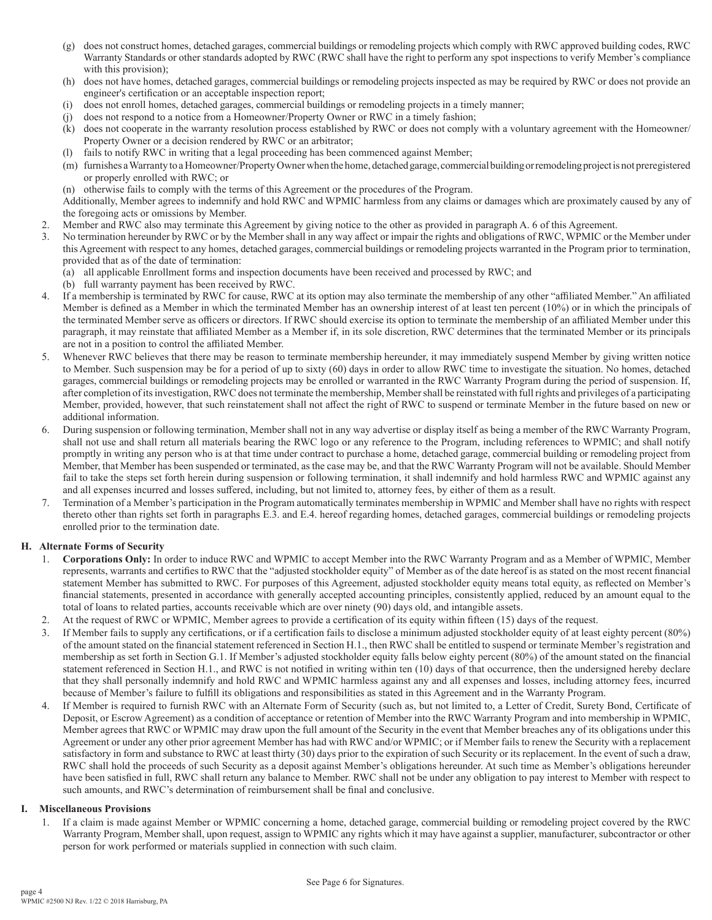- (g) does not construct homes, detached garages, commercial buildings or remodeling projects which comply with RWC approved building codes, RWC Warranty Standards or other standards adopted by RWC (RWC shall have the right to perform any spot inspections to verify Member's compliance with this provision);
- (h) does not have homes, detached garages, commercial buildings or remodeling projects inspected as may be required by RWC or does not provide an engineer's certification or an acceptable inspection report;
- (i) does not enroll homes, detached garages, commercial buildings or remodeling projects in a timely manner;
- (j) does not respond to a notice from a Homeowner/Property Owner or RWC in a timely fashion;
- (k) does not cooperate in the warranty resolution process established by RWC or does not comply with a voluntary agreement with the Homeowner/ Property Owner or a decision rendered by RWC or an arbitrator;
- fails to notify RWC in writing that a legal proceeding has been commenced against Member;
- (m) furnishes a Warranty to a Homeowner/Property Owner when the home, detached garage, commercial building or remodeling project is not preregistered or properly enrolled with RWC; or
- (n) otherwise fails to comply with the terms of this Agreement or the procedures of the Program.

Additionally, Member agrees to indemnify and hold RWC and WPMIC harmless from any claims or damages which are proximately caused by any of the foregoing acts or omissions by Member.

- 2. Member and RWC also may terminate this Agreement by giving notice to the other as provided in paragraph A. 6 of this Agreement.
- 3. No termination hereunder by RWC or by the Member shall in any way affect or impair the rights and obligations of RWC, WPMIC or the Member under this Agreement with respect to any homes, detached garages, commercial buildings or remodeling projects warranted in the Program prior to termination, provided that as of the date of termination:
	- (a) all applicable Enrollment forms and inspection documents have been received and processed by RWC; and
	- (b) full warranty payment has been received by RWC.
- 4. If a membership is terminated by RWC for cause, RWC at its option may also terminate the membership of any other "affiliated Member." An affiliated Member is defined as a Member in which the terminated Member has an ownership interest of at least ten percent (10%) or in which the principals of the terminated Member serve as officers or directors. If RWC should exercise its option to terminate the membership of an affiliated Member under this paragraph, it may reinstate that affiliated Member as a Member if, in its sole discretion, RWC determines that the terminated Member or its principals are not in a position to control the affiliated Member.
- 5. Whenever RWC believes that there may be reason to terminate membership hereunder, it may immediately suspend Member by giving written notice to Member. Such suspension may be for a period of up to sixty (60) days in order to allow RWC time to investigate the situation. No homes, detached garages, commercial buildings or remodeling projects may be enrolled or warranted in the RWC Warranty Program during the period of suspension. If, after completion of its investigation, RWC does not terminate the membership, Member shall be reinstated with full rights and privileges of a participating Member, provided, however, that such reinstatement shall not affect the right of RWC to suspend or terminate Member in the future based on new or additional information.
- 6. During suspension or following termination, Member shall not in any way advertise or display itself as being a member of the RWC Warranty Program, shall not use and shall return all materials bearing the RWC logo or any reference to the Program, including references to WPMIC; and shall notify promptly in writing any person who is at that time under contract to purchase a home, detached garage, commercial building or remodeling project from Member, that Member has been suspended or terminated, as the case may be, and that the RWC Warranty Program will not be available. Should Member fail to take the steps set forth herein during suspension or following termination, it shall indemnify and hold harmless RWC and WPMIC against any and all expenses incurred and losses suffered, including, but not limited to, attorney fees, by either of them as a result.
- 7. Termination of a Member's participation in the Program automatically terminates membership in WPMIC and Member shall have no rights with respect thereto other than rights set forth in paragraphs E.3. and E.4. hereof regarding homes, detached garages, commercial buildings or remodeling projects enrolled prior to the termination date.

## **H. Alternate Forms of Security**

- 1. **Corporations Only:** In order to induce RWC and WPMIC to accept Member into the RWC Warranty Program and as a Member of WPMIC, Member represents, warrants and certifies to RWC that the "adjusted stockholder equity" of Member as of the date hereof is as stated on the most recent financial statement Member has submitted to RWC. For purposes of this Agreement, adjusted stockholder equity means total equity, as reflected on Member's financial statements, presented in accordance with generally accepted accounting principles, consistently applied, reduced by an amount equal to the total of loans to related parties, accounts receivable which are over ninety (90) days old, and intangible assets.
- 2. At the request of RWC or WPMIC, Member agrees to provide a certification of its equity within fifteen (15) days of the request.
- 3. If Member fails to supply any certifications, or if a certification fails to disclose a minimum adjusted stockholder equity of at least eighty percent (80%) of the amount stated on the financial statement referenced in Section H.1., then RWC shall be entitled to suspend or terminate Member's registration and membership as set forth in Section G.1. If Member's adjusted stockholder equity falls below eighty percent (80%) of the amount stated on the financial statement referenced in Section H.1., and RWC is not notified in writing within ten (10) days of that occurrence, then the undersigned hereby declare that they shall personally indemnify and hold RWC and WPMIC harmless against any and all expenses and losses, including attorney fees, incurred because of Member's failure to fulfill its obligations and responsibilities as stated in this Agreement and in the Warranty Program.
- 4. If Member is required to furnish RWC with an Alternate Form of Security (such as, but not limited to, a Letter of Credit, Surety Bond, Certificate of Deposit, or Escrow Agreement) as a condition of acceptance or retention of Member into the RWC Warranty Program and into membership in WPMIC, Member agrees that RWC or WPMIC may draw upon the full amount of the Security in the event that Member breaches any of its obligations under this Agreement or under any other prior agreement Member has had with RWC and/or WPMIC; or if Member fails to renew the Security with a replacement satisfactory in form and substance to RWC at least thirty (30) days prior to the expiration of such Security or its replacement. In the event of such a draw, RWC shall hold the proceeds of such Security as a deposit against Member's obligations hereunder. At such time as Member's obligations hereunder have been satisfied in full, RWC shall return any balance to Member. RWC shall not be under any obligation to pay interest to Member with respect to such amounts, and RWC's determination of reimbursement shall be final and conclusive.

## **I. Miscellaneous Provisions**

1. If a claim is made against Member or WPMIC concerning a home, detached garage, commercial building or remodeling project covered by the RWC Warranty Program, Member shall, upon request, assign to WPMIC any rights which it may have against a supplier, manufacturer, subcontractor or other person for work performed or materials supplied in connection with such claim.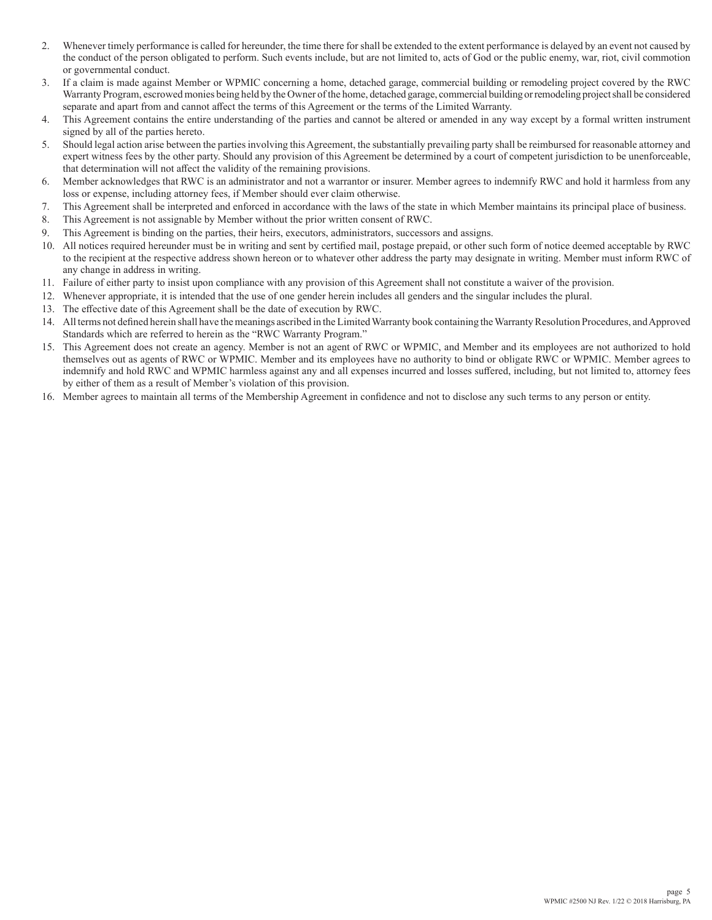- 2. Whenever timely performance is called for hereunder, the time there for shall be extended to the extent performance is delayed by an event not caused by the conduct of the person obligated to perform. Such events include, but are not limited to, acts of God or the public enemy, war, riot, civil commotion or governmental conduct.
- 3. If a claim is made against Member or WPMIC concerning a home, detached garage, commercial building or remodeling project covered by the RWC Warranty Program, escrowed monies being held by the Owner of the home, detached garage, commercial building or remodeling project shall be considered separate and apart from and cannot affect the terms of this Agreement or the terms of the Limited Warranty.
- 4. This Agreement contains the entire understanding of the parties and cannot be altered or amended in any way except by a formal written instrument signed by all of the parties hereto.
- 5. Should legal action arise between the parties involving this Agreement, the substantially prevailing party shall be reimbursed for reasonable attorney and expert witness fees by the other party. Should any provision of this Agreement be determined by a court of competent jurisdiction to be unenforceable, that determination will not affect the validity of the remaining provisions.
- 6. Member acknowledges that RWC is an administrator and not a warrantor or insurer. Member agrees to indemnify RWC and hold it harmless from any loss or expense, including attorney fees, if Member should ever claim otherwise.
- 7. This Agreement shall be interpreted and enforced in accordance with the laws of the state in which Member maintains its principal place of business.
- 8. This Agreement is not assignable by Member without the prior written consent of RWC.
- 9. This Agreement is binding on the parties, their heirs, executors, administrators, successors and assigns.
- 10. All notices required hereunder must be in writing and sent by certified mail, postage prepaid, or other such form of notice deemed acceptable by RWC to the recipient at the respective address shown hereon or to whatever other address the party may designate in writing. Member must inform RWC of any change in address in writing.
- 11. Failure of either party to insist upon compliance with any provision of this Agreement shall not constitute a waiver of the provision.
- 12. Whenever appropriate, it is intended that the use of one gender herein includes all genders and the singular includes the plural.
- 13. The effective date of this Agreement shall be the date of execution by RWC.
- 14. All terms not defined herein shall have the meanings ascribed in the Limited Warranty book containing the Warranty Resolution Procedures, and Approved Standards which are referred to herein as the "RWC Warranty Program."
- 15. This Agreement does not create an agency. Member is not an agent of RWC or WPMIC, and Member and its employees are not authorized to hold themselves out as agents of RWC or WPMIC. Member and its employees have no authority to bind or obligate RWC or WPMIC. Member agrees to indemnify and hold RWC and WPMIC harmless against any and all expenses incurred and losses suffered, including, but not limited to, attorney fees by either of them as a result of Member's violation of this provision.
- 16. Member agrees to maintain all terms of the Membership Agreement in confidence and not to disclose any such terms to any person or entity.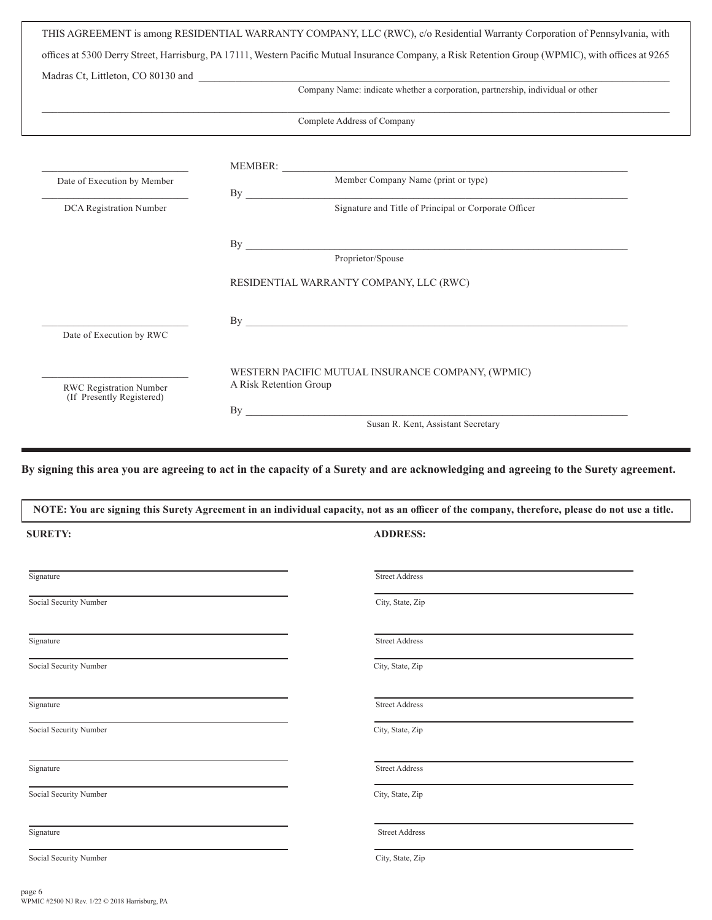|                                                             | offices at 5300 Derry Street, Harrisburg, PA 17111, Western Pacific Mutual Insurance Company, a Risk Retention Group (WPMIC), with offices at 9265                                                                             |
|-------------------------------------------------------------|--------------------------------------------------------------------------------------------------------------------------------------------------------------------------------------------------------------------------------|
|                                                             | Company Name: indicate whether a corporation, partnership, individual or other                                                                                                                                                 |
|                                                             |                                                                                                                                                                                                                                |
|                                                             | Complete Address of Company                                                                                                                                                                                                    |
|                                                             |                                                                                                                                                                                                                                |
| Date of Execution by Member                                 | MEMBER: Member Company Name (print or type)<br>By                                                                                                                                                                              |
| DCA Registration Number                                     | Signature and Title of Principal or Corporate Officer                                                                                                                                                                          |
|                                                             |                                                                                                                                                                                                                                |
|                                                             | Proprietor/Spouse                                                                                                                                                                                                              |
|                                                             | RESIDENTIAL WARRANTY COMPANY, LLC (RWC)                                                                                                                                                                                        |
|                                                             |                                                                                                                                                                                                                                |
| Date of Execution by RWC                                    |                                                                                                                                                                                                                                |
| <b>RWC Registration Number</b><br>(If Presently Registered) | WESTERN PACIFIC MUTUAL INSURANCE COMPANY, (WPMIC)<br>A Risk Retention Group                                                                                                                                                    |
|                                                             | By the contract of the contract of the contract of the contract of the contract of the contract of the contract of the contract of the contract of the contract of the contract of the contract of the contract of the contrac |

**By signing this area you are agreeing to act in the capacity of a Surety and are acknowledging and agreeing to the Surety agreement.**

| NOTE: You are signing this Surety Agreement in an individual capacity, not as an officer of the company, therefore, please do not use a title. |                       |  |
|------------------------------------------------------------------------------------------------------------------------------------------------|-----------------------|--|
| <b>SURETY:</b>                                                                                                                                 | <b>ADDRESS:</b>       |  |
| Signature                                                                                                                                      | <b>Street Address</b> |  |
| Social Security Number                                                                                                                         | City, State, Zip      |  |
| Signature                                                                                                                                      | <b>Street Address</b> |  |
| Social Security Number                                                                                                                         | City, State, Zip      |  |
| Signature                                                                                                                                      | <b>Street Address</b> |  |
| Social Security Number                                                                                                                         | City, State, Zip      |  |
| Signature                                                                                                                                      | <b>Street Address</b> |  |
| Social Security Number                                                                                                                         | City, State, Zip      |  |
| Signature                                                                                                                                      | <b>Street Address</b> |  |
| Social Security Number                                                                                                                         | City, State, Zip      |  |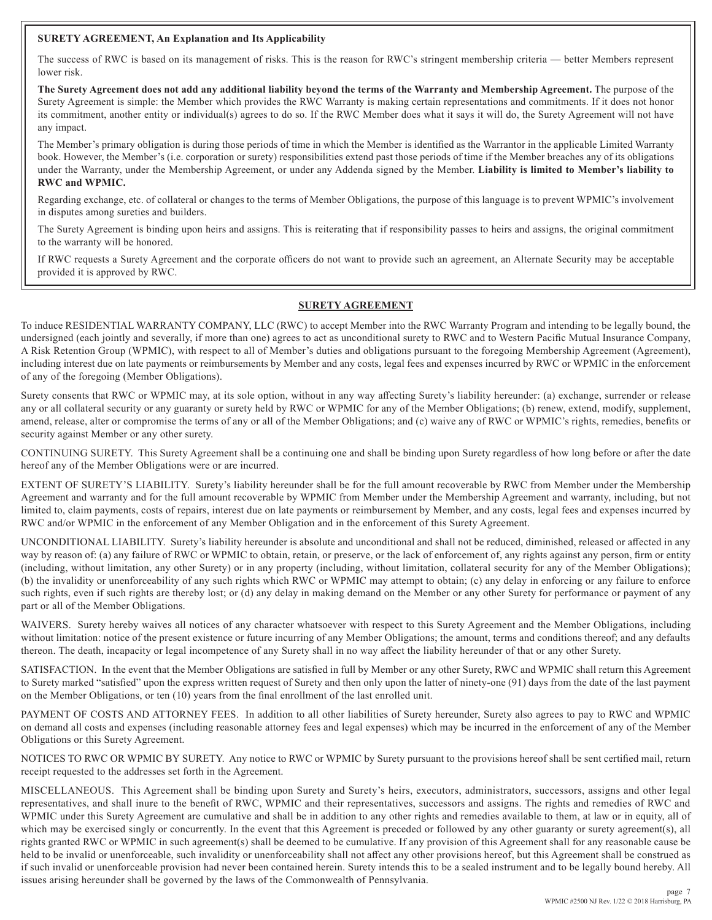## **SURETY AGREEMENT, An Explanation and Its Applicability**

The success of RWC is based on its management of risks. This is the reason for RWC's stringent membership criteria — better Members represent lower risk.

**The Surety Agreement does not add any additional liability beyond the terms of the Warranty and Membership Agreement.** The purpose of the Surety Agreement is simple: the Member which provides the RWC Warranty is making certain representations and commitments. If it does not honor its commitment, another entity or individual(s) agrees to do so. If the RWC Member does what it says it will do, the Surety Agreement will not have any impact.

The Member's primary obligation is during those periods of time in which the Member is identified as the Warrantor in the applicable Limited Warranty book. However, the Member's (i.e. corporation or surety) responsibilities extend past those periods of time if the Member breaches any of its obligations under the Warranty, under the Membership Agreement, or under any Addenda signed by the Member. **Liability is limited to Member's liability to RWC and WPMIC.**

Regarding exchange, etc. of collateral or changes to the terms of Member Obligations, the purpose of this language is to prevent WPMIC's involvement in disputes among sureties and builders.

The Surety Agreement is binding upon heirs and assigns. This is reiterating that if responsibility passes to heirs and assigns, the original commitment to the warranty will be honored.

If RWC requests a Surety Agreement and the corporate officers do not want to provide such an agreement, an Alternate Security may be acceptable provided it is approved by RWC.

# **SURETY AGREEMENT**

To induce RESIDENTIAL WARRANTY COMPANY, LLC (RWC) to accept Member into the RWC Warranty Program and intending to be legally bound, the undersigned (each jointly and severally, if more than one) agrees to act as unconditional surety to RWC and to Western Pacific Mutual Insurance Company, A Risk Retention Group (WPMIC), with respect to all of Member's duties and obligations pursuant to the foregoing Membership Agreement (Agreement), including interest due on late payments or reimbursements by Member and any costs, legal fees and expenses incurred by RWC or WPMIC in the enforcement of any of the foregoing (Member Obligations).

Surety consents that RWC or WPMIC may, at its sole option, without in any way affecting Surety's liability hereunder: (a) exchange, surrender or release any or all collateral security or any guaranty or surety held by RWC or WPMIC for any of the Member Obligations; (b) renew, extend, modify, supplement, amend, release, alter or compromise the terms of any or all of the Member Obligations; and (c) waive any of RWC or WPMIC's rights, remedies, benefits or security against Member or any other surety.

CONTINUING SURETY. This Surety Agreement shall be a continuing one and shall be binding upon Surety regardless of how long before or after the date hereof any of the Member Obligations were or are incurred.

EXTENT OF SURETY'S LIABILITY. Surety's liability hereunder shall be for the full amount recoverable by RWC from Member under the Membership Agreement and warranty and for the full amount recoverable by WPMIC from Member under the Membership Agreement and warranty, including, but not limited to, claim payments, costs of repairs, interest due on late payments or reimbursement by Member, and any costs, legal fees and expenses incurred by RWC and/or WPMIC in the enforcement of any Member Obligation and in the enforcement of this Surety Agreement.

UNCONDITIONAL LIABILITY. Surety's liability hereunder is absolute and unconditional and shall not be reduced, diminished, released or affected in any way by reason of: (a) any failure of RWC or WPMIC to obtain, retain, or preserve, or the lack of enforcement of, any rights against any person, firm or entity (including, without limitation, any other Surety) or in any property (including, without limitation, collateral security for any of the Member Obligations); (b) the invalidity or unenforceability of any such rights which RWC or WPMIC may attempt to obtain; (c) any delay in enforcing or any failure to enforce such rights, even if such rights are thereby lost; or (d) any delay in making demand on the Member or any other Surety for performance or payment of any part or all of the Member Obligations.

WAIVERS. Surety hereby waives all notices of any character whatsoever with respect to this Surety Agreement and the Member Obligations, including without limitation: notice of the present existence or future incurring of any Member Obligations; the amount, terms and conditions thereof; and any defaults thereon. The death, incapacity or legal incompetence of any Surety shall in no way affect the liability hereunder of that or any other Surety.

SATISFACTION. In the event that the Member Obligations are satisfied in full by Member or any other Surety, RWC and WPMIC shall return this Agreement to Surety marked "satisfied" upon the express written request of Surety and then only upon the latter of ninety-one (91) days from the date of the last payment on the Member Obligations, or ten (10) years from the final enrollment of the last enrolled unit.

PAYMENT OF COSTS AND ATTORNEY FEES. In addition to all other liabilities of Surety hereunder, Surety also agrees to pay to RWC and WPMIC on demand all costs and expenses (including reasonable attorney fees and legal expenses) which may be incurred in the enforcement of any of the Member Obligations or this Surety Agreement.

NOTICES TO RWC OR WPMIC BY SURETY. Any notice to RWC or WPMIC by Surety pursuant to the provisions hereof shall be sent certified mail, return receipt requested to the addresses set forth in the Agreement.

MISCELLANEOUS. This Agreement shall be binding upon Surety and Surety's heirs, executors, administrators, successors, assigns and other legal representatives, and shall inure to the benefit of RWC, WPMIC and their representatives, successors and assigns. The rights and remedies of RWC and WPMIC under this Surety Agreement are cumulative and shall be in addition to any other rights and remedies available to them, at law or in equity, all of which may be exercised singly or concurrently. In the event that this Agreement is preceded or followed by any other guaranty or surety agreement(s), all rights granted RWC or WPMIC in such agreement(s) shall be deemed to be cumulative. If any provision of this Agreement shall for any reasonable cause be held to be invalid or unenforceable, such invalidity or unenforceability shall not affect any other provisions hereof, but this Agreement shall be construed as if such invalid or unenforceable provision had never been contained herein. Surety intends this to be a sealed instrument and to be legally bound hereby. All issues arising hereunder shall be governed by the laws of the Commonwealth of Pennsylvania.